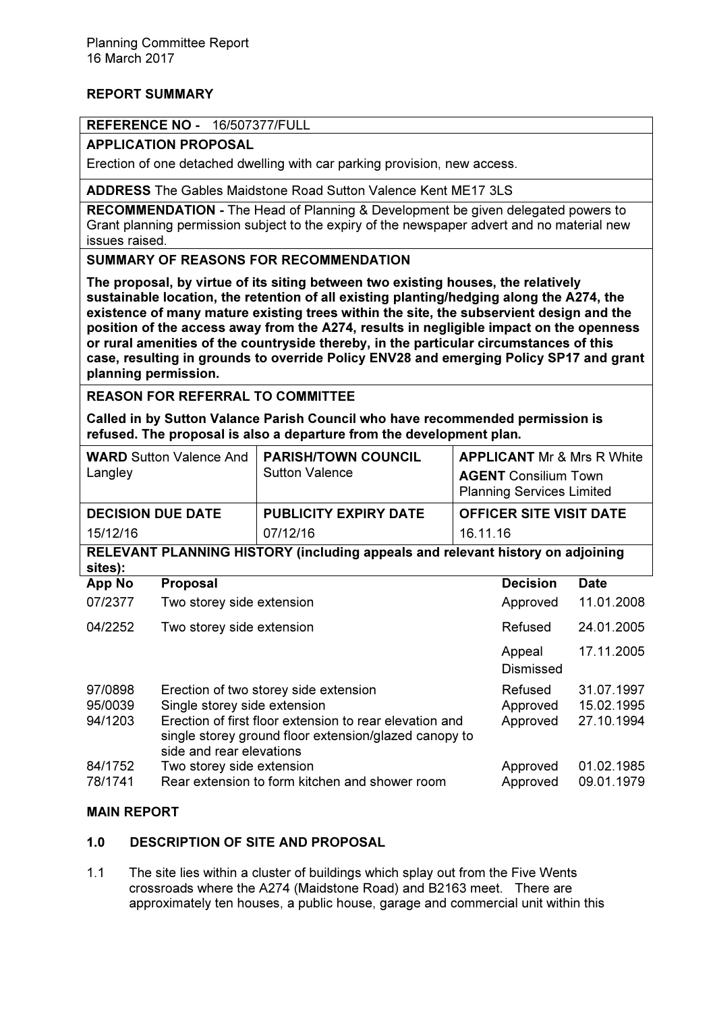# REPORT SUMMARY

#### REFERENCE NO - 16/507377/FULL

APPLICATION PROPOSAL

Erection of one detached dwelling with car parking provision, new access.

ADDRESS The Gables Maidstone Road Sutton Valence Kent ME17 3LS

RECOMMENDATION - The Head of Planning & Development be given delegated powers to Grant planning permission subject to the expiry of the newspaper advert and no material new issues raised.

SUMMARY OF REASONS FOR RECOMMENDATION

The proposal, by virtue of its siting between two existing houses, the relatively sustainable location, the retention of all existing planting/hedging along the A274, the existence of many mature existing trees within the site, the subservient design and the position of the access away from the A274, results in negligible impact on the openness or rural amenities of the countryside thereby, in the particular circumstances of this case, resulting in grounds to override Policy ENV28 and emerging Policy SP17 and grant planning permission.

REASON FOR REFERRAL TO COMMITTEE

Called in by Sutton Valance Parish Council who have recommended permission is refused. The proposal is also a departure from the development plan.

| <b>WARD</b> Sutton Valence And<br>Langley                                                 |                                                                                                                                              | <b>PARISH/TOWN COUNCIL</b><br><b>Sutton Valence</b> | <b>APPLICANT Mr &amp; Mrs R White</b><br><b>AGENT</b> Consilium Town<br><b>Planning Services Limited</b> |                     |             |
|-------------------------------------------------------------------------------------------|----------------------------------------------------------------------------------------------------------------------------------------------|-----------------------------------------------------|----------------------------------------------------------------------------------------------------------|---------------------|-------------|
| <b>DECISION DUE DATE</b>                                                                  |                                                                                                                                              | <b>PUBLICITY EXPIRY DATE</b>                        | <b>OFFICER SITE VISIT DATE</b>                                                                           |                     |             |
| 15/12/16                                                                                  |                                                                                                                                              | 07/12/16                                            | 16.11.16                                                                                                 |                     |             |
| RELEVANT PLANNING HISTORY (including appeals and relevant history on adjoining<br>sites): |                                                                                                                                              |                                                     |                                                                                                          |                     |             |
| App No                                                                                    | <b>Proposal</b>                                                                                                                              |                                                     |                                                                                                          | <b>Decision</b>     | <b>Date</b> |
| 07/2377                                                                                   | Two storey side extension                                                                                                                    |                                                     |                                                                                                          | Approved            | 11.01.2008  |
| 04/2252                                                                                   | Two storey side extension                                                                                                                    |                                                     |                                                                                                          | Refused             | 24.01.2005  |
|                                                                                           |                                                                                                                                              |                                                     |                                                                                                          | Appeal<br>Dismissed | 17.11.2005  |
| 97/0898                                                                                   |                                                                                                                                              | Erection of two storey side extension               |                                                                                                          | Refused             | 31.07.1997  |
| 95/0039                                                                                   | Single storey side extension                                                                                                                 |                                                     |                                                                                                          | Approved            | 15.02.1995  |
| 94/1203                                                                                   | Erection of first floor extension to rear elevation and<br>single storey ground floor extension/glazed canopy to<br>side and rear elevations |                                                     |                                                                                                          | Approved            | 27.10.1994  |
| 84/1752                                                                                   | Two storey side extension                                                                                                                    |                                                     |                                                                                                          | Approved            | 01.02.1985  |
| 78/1741                                                                                   |                                                                                                                                              | Rear extension to form kitchen and shower room      |                                                                                                          | Approved            | 09.01.1979  |

## MAIN REPORT

### 1.0 DESCRIPTION OF SITE AND PROPOSAL

1.1 The site lies within a cluster of buildings which splay out from the Five Wents crossroads where the A274 (Maidstone Road) and B2163 meet. There are approximately ten houses, a public house, garage and commercial unit within this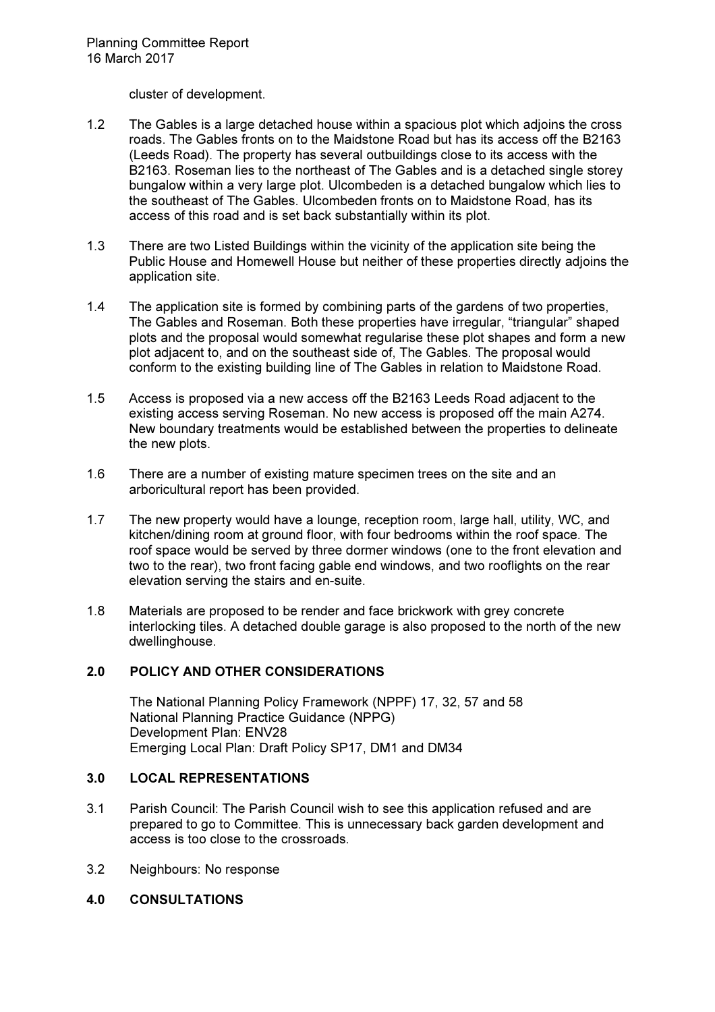cluster of development.

- 1.2 The Gables is a large detached house within a spacious plot which adjoins the cross roads. The Gables fronts on to the Maidstone Road but has its access off the B2163 (Leeds Road). The property has several outbuildings close to its access with the B2163. Roseman lies to the northeast of The Gables and is a detached single storey bungalow within a very large plot. Ulcombeden is a detached bungalow which lies to the southeast of The Gables. Ulcombeden fronts on to Maidstone Road, has its access of this road and is set back substantially within its plot.
- 1.3 There are two Listed Buildings within the vicinity of the application site being the Public House and Homewell House but neither of these properties directly adjoins the application site.
- 1.4 The application site is formed by combining parts of the gardens of two properties, The Gables and Roseman. Both these properties have irregular, "triangular" shaped plots and the proposal would somewhat regularise these plot shapes and form a new plot adjacent to, and on the southeast side of, The Gables. The proposal would conform to the existing building line of The Gables in relation to Maidstone Road.
- 1.5 Access is proposed via a new access off the B2163 Leeds Road adjacent to the existing access serving Roseman. No new access is proposed off the main A274. New boundary treatments would be established between the properties to delineate the new plots.
- 1.6 There are a number of existing mature specimen trees on the site and an arboricultural report has been provided.
- 1.7 The new property would have a lounge, reception room, large hall, utility, WC, and kitchen/dining room at ground floor, with four bedrooms within the roof space. The roof space would be served by three dormer windows (one to the front elevation and two to the rear), two front facing gable end windows, and two rooflights on the rear elevation serving the stairs and en-suite.
- 1.8 Materials are proposed to be render and face brickwork with grey concrete interlocking tiles. A detached double garage is also proposed to the north of the new dwellinghouse.

#### 2.0 POLICY AND OTHER CONSIDERATIONS

The National Planning Policy Framework (NPPF) 17, 32, 57 and 58 National Planning Practice Guidance (NPPG) Development Plan: ENV28 Emerging Local Plan: Draft Policy SP17, DM1 and DM34

#### 3.0 LOCAL REPRESENTATIONS

- 3.1 Parish Council: The Parish Council wish to see this application refused and are prepared to go to Committee. This is unnecessary back garden development and access is too close to the crossroads.
- 3.2 Neighbours: No response
- 4.0 CONSULTATIONS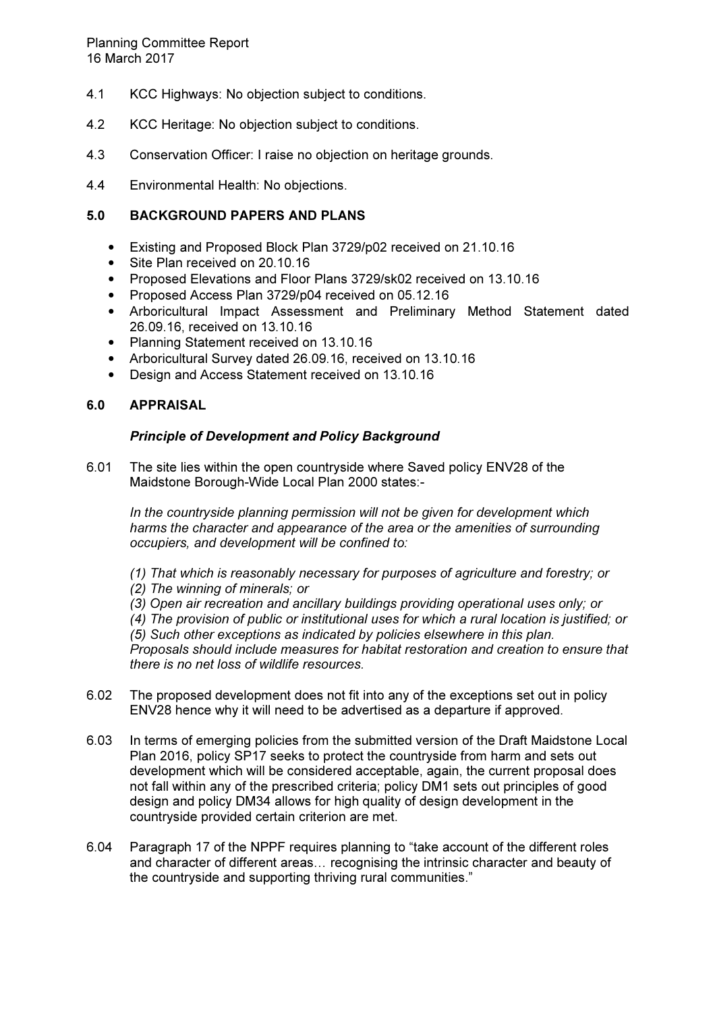- 4.1 KCC Highways: No objection subject to conditions.
- 4.2 KCC Heritage: No objection subject to conditions.
- 4.3 Conservation Officer: I raise no objection on heritage grounds.
- 4.4 Environmental Health: No objections.

## 5.0 BACKGROUND PAPERS AND PLANS

- Existing and Proposed Block Plan 3729/p02 received on 21.10.16
- Site Plan received on 20.10.16
- Proposed Elevations and Floor Plans 3729/sk02 received on 13.10.16
- Proposed Access Plan 3729/p04 received on 05.12.16
- Arboricultural Impact Assessment and Preliminary Method Statement dated 26.09.16, received on 13.10.16
- Planning Statement received on 13.10.16
- Arboricultural Survey dated 26.09.16, received on 13.10.16
- Design and Access Statement received on 13.10.16

### 6.0 APPRAISAL

#### Principle of Development and Policy Background

6.01 The site lies within the open countryside where Saved policy ENV28 of the Maidstone Borough-Wide Local Plan 2000 states:-

*In the countryside planning permission will not be given for development which harms the character and appearance of the area or the amenities of surrounding occupiers, and development will be confined to:* 

- *(1) That which is reasonably necessary for purposes of agriculture and forestry; or*
- *(2) The winning of minerals; or*
- *(3) Open air recreation and ancillary buildings providing operational uses only; or*

*(4) The provision of public or institutional uses for which a rural location is justified; or (5) Such other exceptions as indicated by policies elsewhere in this plan.* 

*Proposals should include measures for habitat restoration and creation to ensure that there is no net loss of wildlife resources.* 

- 6.02 The proposed development does not fit into any of the exceptions set out in policy ENV28 hence why it will need to be advertised as a departure if approved.
- 6.03 In terms of emerging policies from the submitted version of the Draft Maidstone Local Plan 2016, policy SP17 seeks to protect the countryside from harm and sets out development which will be considered acceptable, again, the current proposal does not fall within any of the prescribed criteria; policy DM1 sets out principles of good design and policy DM34 allows for high quality of design development in the countryside provided certain criterion are met.
- 6.04 Paragraph 17 of the NPPF requires planning to "take account of the different roles and character of different areas... recognising the intrinsic character and beauty of the countryside and supporting thriving rural communities."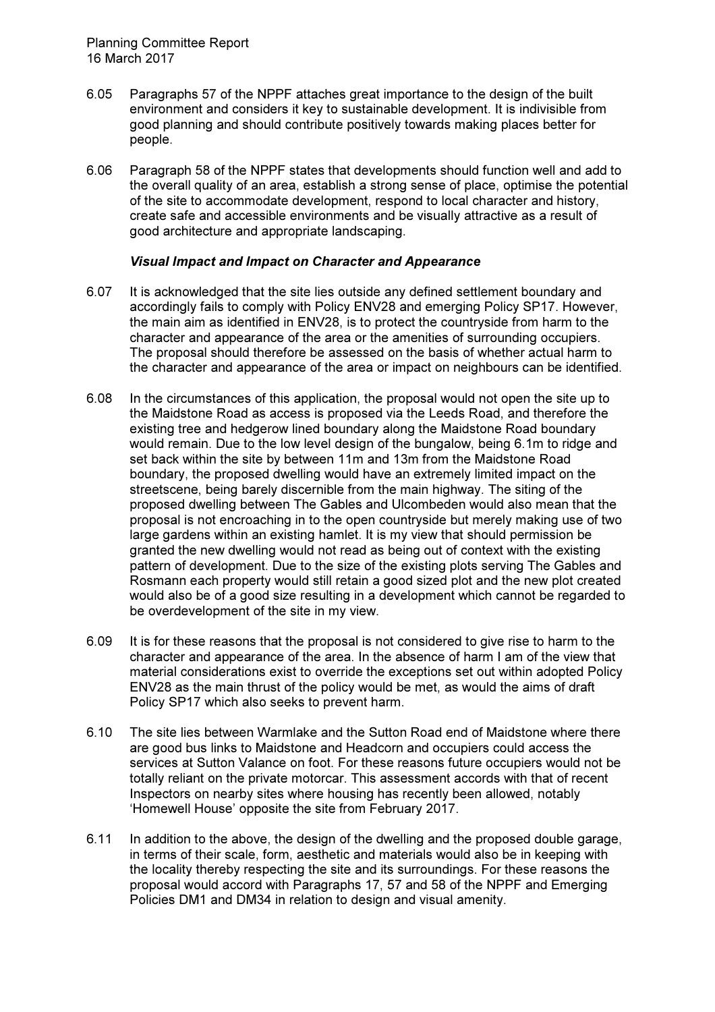- 6.05 Paragraphs 57 of the NPPF attaches great importance to the design of the built environment and considers it key to sustainable development. It is indivisible from good planning and should contribute positively towards making places better for people.
- 6.06 Paragraph 58 of the NPPF states that developments should function well and add to the overall quality of an area, establish a strong sense of place, optimise the potential of the site to accommodate development, respond to local character and history, create safe and accessible environments and be visually attractive as a result of good architecture and appropriate landscaping.

#### Visual Impact and Impact on Character and Appearance

- 6.07 It is acknowledged that the site lies outside any defined settlement boundary and accordingly fails to comply with Policy ENV28 and emerging Policy SP17. However, the main aim as identified in ENV28, is to protect the countryside from harm to the character and appearance of the area or the amenities of surrounding occupiers. The proposal should therefore be assessed on the basis of whether actual harm to the character and appearance of the area or impact on neighbours can be identified.
- 6.08 In the circumstances of this application, the proposal would not open the site up to the Maidstone Road as access is proposed via the Leeds Road, and therefore the existing tree and hedgerow lined boundary along the Maidstone Road boundary would remain. Due to the low level design of the bungalow, being 6.1m to ridge and set back within the site by between 11m and 13m from the Maidstone Road boundary, the proposed dwelling would have an extremely limited impact on the streetscene, being barely discernible from the main highway. The siting of the proposed dwelling between The Gables and Ulcombeden would also mean that the proposal is not encroaching in to the open countryside but merely making use of two large gardens within an existing hamlet. It is my view that should permission be granted the new dwelling would not read as being out of context with the existing pattern of development. Due to the size of the existing plots serving The Gables and Rosmann each property would still retain a good sized plot and the new plot created would also be of a good size resulting in a development which cannot be regarded to be overdevelopment of the site in my view.
- 6.09 It is for these reasons that the proposal is not considered to give rise to harm to the character and appearance of the area. In the absence of harm I am of the view that material considerations exist to override the exceptions set out within adopted Policy ENV28 as the main thrust of the policy would be met, as would the aims of draft Policy SP17 which also seeks to prevent harm.
- 6.10 The site lies between Warmlake and the Sutton Road end of Maidstone where there are good bus links to Maidstone and Headcorn and occupiers could access the services at Sutton Valance on foot. For these reasons future occupiers would not be totally reliant on the private motorcar. This assessment accords with that of recent Inspectors on nearby sites where housing has recently been allowed, notably 'Homewell House' opposite the site from February 2017.
- 6.11 In addition to the above, the design of the dwelling and the proposed double garage, in terms of their scale, form, aesthetic and materials would also be in keeping with the locality thereby respecting the site and its surroundings. For these reasons the proposal would accord with Paragraphs 17, 57 and 58 of the NPPF and Emerging Policies DM1 and DM34 in relation to design and visual amenity.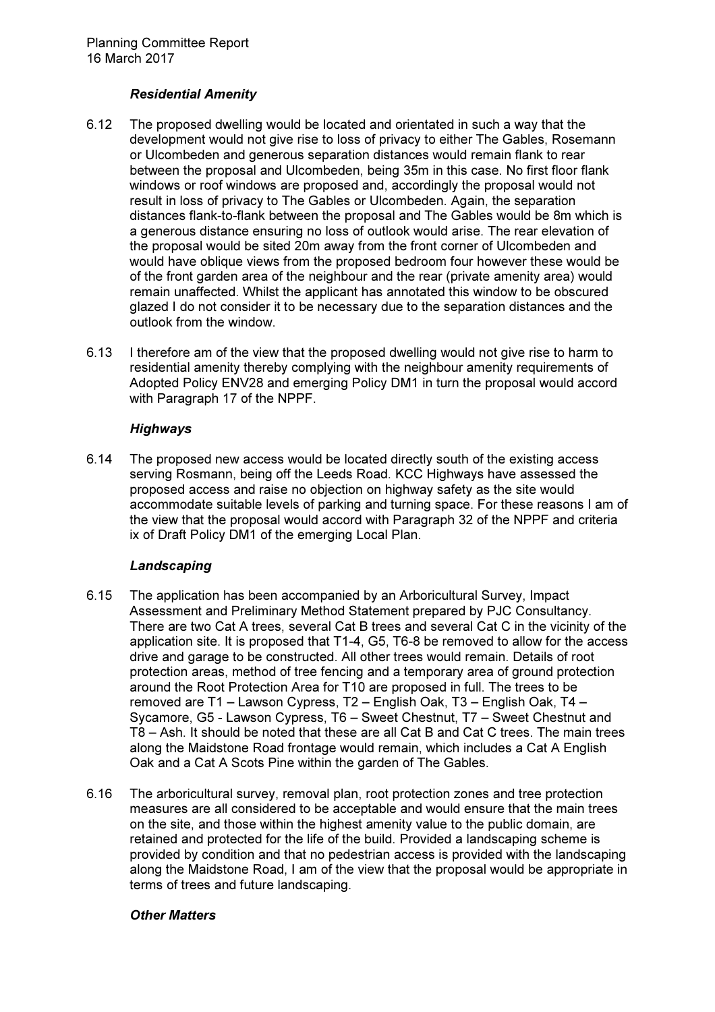### Residential Amenity

- 6.12 The proposed dwelling would be located and orientated in such a way that the development would not give rise to loss of privacy to either The Gables, Rosemann or Ulcombeden and generous separation distances would remain flank to rear between the proposal and Ulcombeden, being 35m in this case. No first floor flank windows or roof windows are proposed and, accordingly the proposal would not result in loss of privacy to The Gables or Ulcombeden. Again, the separation distances flank-to-flank between the proposal and The Gables would be 8m which is a generous distance ensuring no loss of outlook would arise. The rear elevation of the proposal would be sited 20m away from the front corner of Ulcombeden and would have oblique views from the proposed bedroom four however these would be of the front garden area of the neighbour and the rear (private amenity area) would remain unaffected. Whilst the applicant has annotated this window to be obscured glazed I do not consider it to be necessary due to the separation distances and the outlook from the window.
- 6.13 I therefore am of the view that the proposed dwelling would not give rise to harm to residential amenity thereby complying with the neighbour amenity requirements of Adopted Policy ENV28 and emerging Policy DM1 in turn the proposal would accord with Paragraph 17 of the NPPF.

#### **Highways**

6.14 The proposed new access would be located directly south of the existing access serving Rosmann, being off the Leeds Road. KCC Highways have assessed the proposed access and raise no objection on highway safety as the site would accommodate suitable levels of parking and turning space. For these reasons I am of the view that the proposal would accord with Paragraph 32 of the NPPF and criteria ix of Draft Policy DM1 of the emerging Local Plan.

# Landscaping

- 6.15 The application has been accompanied by an Arboricultural Survey, Impact Assessment and Preliminary Method Statement prepared by PJC Consultancy. There are two Cat A trees, several Cat B trees and several Cat C in the vicinity of the application site. It is proposed that T1-4, G5, T6-8 be removed to allow for the access drive and garage to be constructed. All other trees would remain. Details of root protection areas, method of tree fencing and a temporary area of ground protection around the Root Protection Area for T10 are proposed in full. The trees to be removed are T1 – Lawson Cypress, T2 – English Oak, T3 – English Oak, T4 – Sycamore, G5 - Lawson Cypress, T6 – Sweet Chestnut, T7 – Sweet Chestnut and T8 – Ash. It should be noted that these are all Cat B and Cat C trees. The main trees along the Maidstone Road frontage would remain, which includes a Cat A English Oak and a Cat A Scots Pine within the garden of The Gables.
- 6.16 The arboricultural survey, removal plan, root protection zones and tree protection measures are all considered to be acceptable and would ensure that the main trees on the site, and those within the highest amenity value to the public domain, are retained and protected for the life of the build. Provided a landscaping scheme is provided by condition and that no pedestrian access is provided with the landscaping along the Maidstone Road, I am of the view that the proposal would be appropriate in terms of trees and future landscaping.

#### Other Matters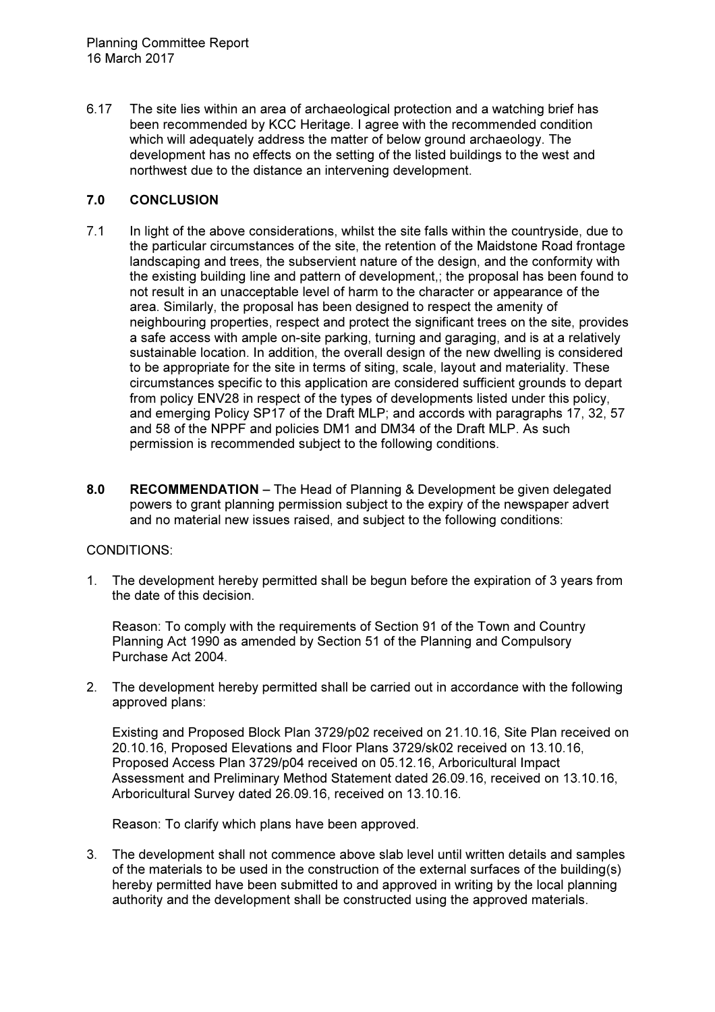6.17 The site lies within an area of archaeological protection and a watching brief has been recommended by KCC Heritage. I agree with the recommended condition which will adequately address the matter of below ground archaeology. The development has no effects on the setting of the listed buildings to the west and northwest due to the distance an intervening development.

### 7.0 CONCLUSION

- 7.1 In light of the above considerations, whilst the site falls within the countryside, due to the particular circumstances of the site, the retention of the Maidstone Road frontage landscaping and trees, the subservient nature of the design, and the conformity with the existing building line and pattern of development,; the proposal has been found to not result in an unacceptable level of harm to the character or appearance of the area. Similarly, the proposal has been designed to respect the amenity of neighbouring properties, respect and protect the significant trees on the site, provides a safe access with ample on-site parking, turning and garaging, and is at a relatively sustainable location. In addition, the overall design of the new dwelling is considered to be appropriate for the site in terms of siting, scale, layout and materiality. These circumstances specific to this application are considered sufficient grounds to depart from policy ENV28 in respect of the types of developments listed under this policy, and emerging Policy SP17 of the Draft MLP; and accords with paragraphs 17, 32, 57 and 58 of the NPPF and policies DM1 and DM34 of the Draft MLP. As such permission is recommended subject to the following conditions.
- 8.0 RECOMMENDATION The Head of Planning & Development be given delegated powers to grant planning permission subject to the expiry of the newspaper advert and no material new issues raised, and subject to the following conditions:

#### CONDITIONS:

1. The development hereby permitted shall be begun before the expiration of 3 years from the date of this decision.

Reason: To comply with the requirements of Section 91 of the Town and Country Planning Act 1990 as amended by Section 51 of the Planning and Compulsory Purchase Act 2004.

2. The development hereby permitted shall be carried out in accordance with the following approved plans:

Existing and Proposed Block Plan 3729/p02 received on 21.10.16, Site Plan received on 20.10.16, Proposed Elevations and Floor Plans 3729/sk02 received on 13.10.16, Proposed Access Plan 3729/p04 received on 05.12.16, Arboricultural Impact Assessment and Preliminary Method Statement dated 26.09.16, received on 13.10.16, Arboricultural Survey dated 26.09.16, received on 13.10.16.

Reason: To clarify which plans have been approved.

3. The development shall not commence above slab level until written details and samples of the materials to be used in the construction of the external surfaces of the building(s) hereby permitted have been submitted to and approved in writing by the local planning authority and the development shall be constructed using the approved materials.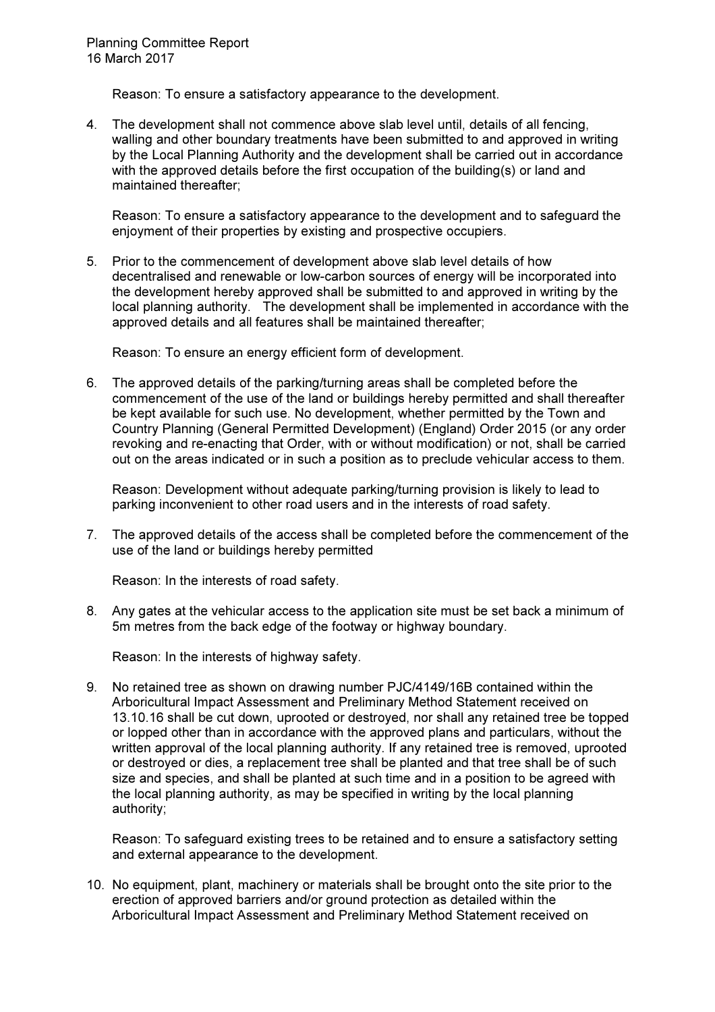Reason: To ensure a satisfactory appearance to the development.

4. The development shall not commence above slab level until, details of all fencing, walling and other boundary treatments have been submitted to and approved in writing by the Local Planning Authority and the development shall be carried out in accordance with the approved details before the first occupation of the building(s) or land and maintained thereafter;

Reason: To ensure a satisfactory appearance to the development and to safeguard the enjoyment of their properties by existing and prospective occupiers.

5. Prior to the commencement of development above slab level details of how decentralised and renewable or low-carbon sources of energy will be incorporated into the development hereby approved shall be submitted to and approved in writing by the local planning authority. The development shall be implemented in accordance with the approved details and all features shall be maintained thereafter;

Reason: To ensure an energy efficient form of development.

6. The approved details of the parking/turning areas shall be completed before the commencement of the use of the land or buildings hereby permitted and shall thereafter be kept available for such use. No development, whether permitted by the Town and Country Planning (General Permitted Development) (England) Order 2015 (or any order revoking and re-enacting that Order, with or without modification) or not, shall be carried out on the areas indicated or in such a position as to preclude vehicular access to them.

Reason: Development without adequate parking/turning provision is likely to lead to parking inconvenient to other road users and in the interests of road safety.

7. The approved details of the access shall be completed before the commencement of the use of the land or buildings hereby permitted

Reason: In the interests of road safety.

8. Any gates at the vehicular access to the application site must be set back a minimum of 5m metres from the back edge of the footway or highway boundary.

Reason: In the interests of highway safety.

9. No retained tree as shown on drawing number PJC/4149/16B contained within the Arboricultural Impact Assessment and Preliminary Method Statement received on 13.10.16 shall be cut down, uprooted or destroyed, nor shall any retained tree be topped or lopped other than in accordance with the approved plans and particulars, without the written approval of the local planning authority. If any retained tree is removed, uprooted or destroyed or dies, a replacement tree shall be planted and that tree shall be of such size and species, and shall be planted at such time and in a position to be agreed with the local planning authority, as may be specified in writing by the local planning authority;

Reason: To safeguard existing trees to be retained and to ensure a satisfactory setting and external appearance to the development.

10. No equipment, plant, machinery or materials shall be brought onto the site prior to the erection of approved barriers and/or ground protection as detailed within the Arboricultural Impact Assessment and Preliminary Method Statement received on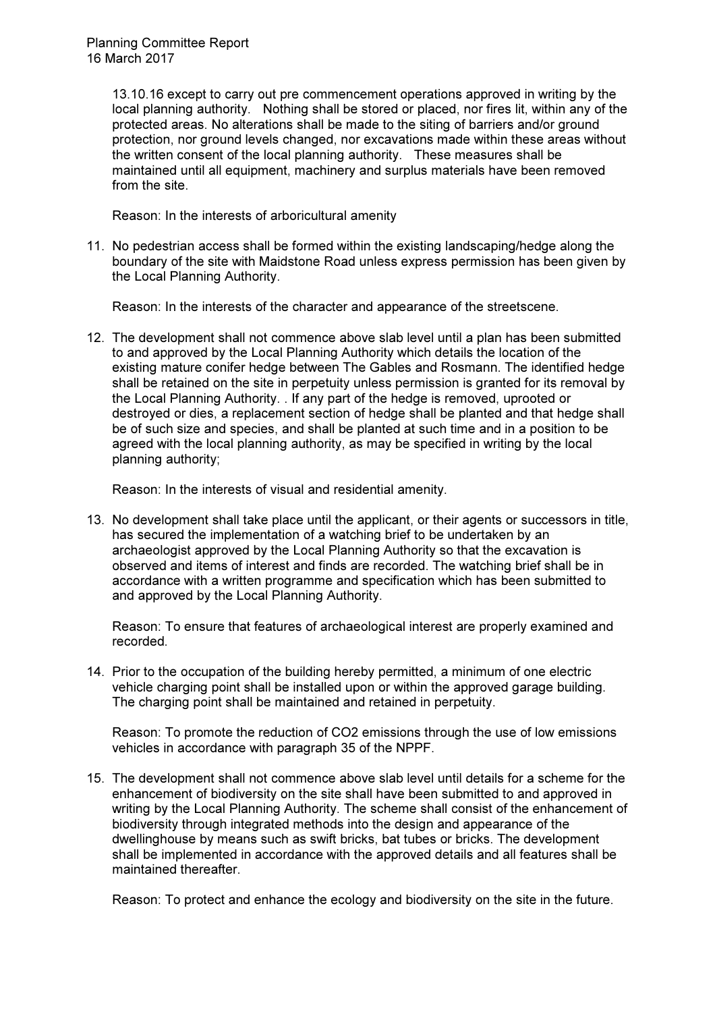13.10.16 except to carry out pre commencement operations approved in writing by the local planning authority. Nothing shall be stored or placed, nor fires lit, within any of the protected areas. No alterations shall be made to the siting of barriers and/or ground protection, nor ground levels changed, nor excavations made within these areas without the written consent of the local planning authority. These measures shall be maintained until all equipment, machinery and surplus materials have been removed from the site.

Reason: In the interests of arboricultural amenity

11. No pedestrian access shall be formed within the existing landscaping/hedge along the boundary of the site with Maidstone Road unless express permission has been given by the Local Planning Authority.

Reason: In the interests of the character and appearance of the streetscene.

12. The development shall not commence above slab level until a plan has been submitted to and approved by the Local Planning Authority which details the location of the existing mature conifer hedge between The Gables and Rosmann. The identified hedge shall be retained on the site in perpetuity unless permission is granted for its removal by the Local Planning Authority. . If any part of the hedge is removed, uprooted or destroyed or dies, a replacement section of hedge shall be planted and that hedge shall be of such size and species, and shall be planted at such time and in a position to be agreed with the local planning authority, as may be specified in writing by the local planning authority;

Reason: In the interests of visual and residential amenity.

13. No development shall take place until the applicant, or their agents or successors in title, has secured the implementation of a watching brief to be undertaken by an archaeologist approved by the Local Planning Authority so that the excavation is observed and items of interest and finds are recorded. The watching brief shall be in accordance with a written programme and specification which has been submitted to and approved by the Local Planning Authority.

Reason: To ensure that features of archaeological interest are properly examined and recorded.

14. Prior to the occupation of the building hereby permitted, a minimum of one electric vehicle charging point shall be installed upon or within the approved garage building. The charging point shall be maintained and retained in perpetuity.

Reason: To promote the reduction of CO2 emissions through the use of low emissions vehicles in accordance with paragraph 35 of the NPPF.

15. The development shall not commence above slab level until details for a scheme for the enhancement of biodiversity on the site shall have been submitted to and approved in writing by the Local Planning Authority. The scheme shall consist of the enhancement of biodiversity through integrated methods into the design and appearance of the dwellinghouse by means such as swift bricks, bat tubes or bricks. The development shall be implemented in accordance with the approved details and all features shall be maintained thereafter.

Reason: To protect and enhance the ecology and biodiversity on the site in the future.